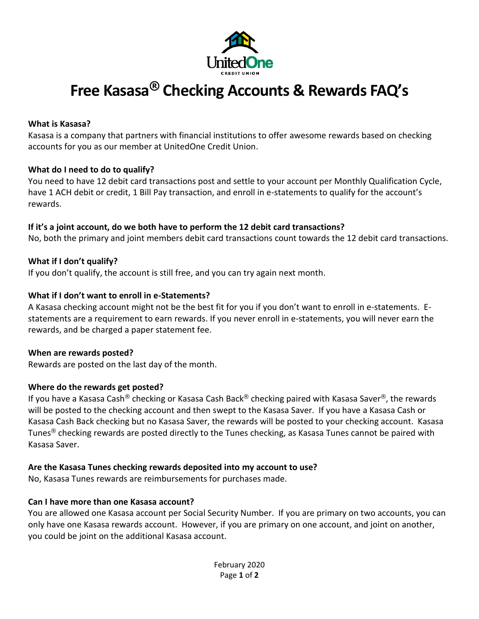

# **Free Kasasa® Checking Accounts & Rewards FAQ's**

#### **What is Kasasa?**

Kasasa is a company that partners with financial institutions to offer awesome rewards based on checking accounts for you as our member at UnitedOne Credit Union.

## **What do I need to do to qualify?**

You need to have 12 debit card transactions post and settle to your account per Monthly Qualification Cycle, have 1 ACH debit or credit, 1 Bill Pay transaction, and enroll in e-statements to qualify for the account's rewards.

## **If it's a joint account, do we both have to perform the 12 debit card transactions?**

No, both the primary and joint members debit card transactions count towards the 12 debit card transactions.

## **What if I don't qualify?**

If you don't qualify, the account is still free, and you can try again next month.

## **What if I don't want to enroll in e-Statements?**

A Kasasa checking account might not be the best fit for you if you don't want to enroll in e-statements. Estatements are a requirement to earn rewards. If you never enroll in e-statements, you will never earn the rewards, and be charged a paper statement fee.

## **When are rewards posted?**

Rewards are posted on the last day of the month.

## **Where do the rewards get posted?**

If you have a Kasasa Cash® checking or Kasasa Cash Back® checking paired with Kasasa Saver®, the rewards will be posted to the checking account and then swept to the Kasasa Saver. If you have a Kasasa Cash or Kasasa Cash Back checking but no Kasasa Saver, the rewards will be posted to your checking account. Kasasa Tunes® checking rewards are posted directly to the Tunes checking, as Kasasa Tunes cannot be paired with Kasasa Saver.

## **Are the Kasasa Tunes checking rewards deposited into my account to use?**

No, Kasasa Tunes rewards are reimbursements for purchases made.

## **Can I have more than one Kasasa account?**

You are allowed one Kasasa account per Social Security Number. If you are primary on two accounts, you can only have one Kasasa rewards account. However, if you are primary on one account, and joint on another, you could be joint on the additional Kasasa account.